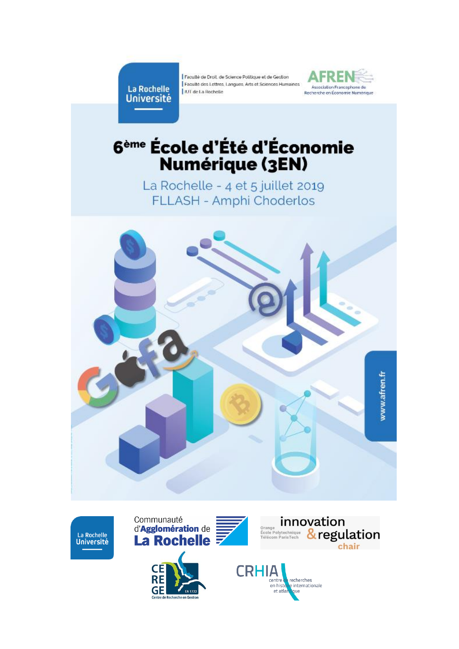La Rochelle **Université** 

Faculté de Droit, de Science Politique et de Gestion Faculté des Lettres, Langues, Arts et Sciences Humaines I IUT de La Rochelle



# 6<sup>ème</sup> École d'Été d'Économie<br>Numérique (3EN)

La Rochelle - 4 et 5 juillet 2019 FLLASH - Amphi Choderlos



La Rochelle Université





re internationale

que

en histoi

et atla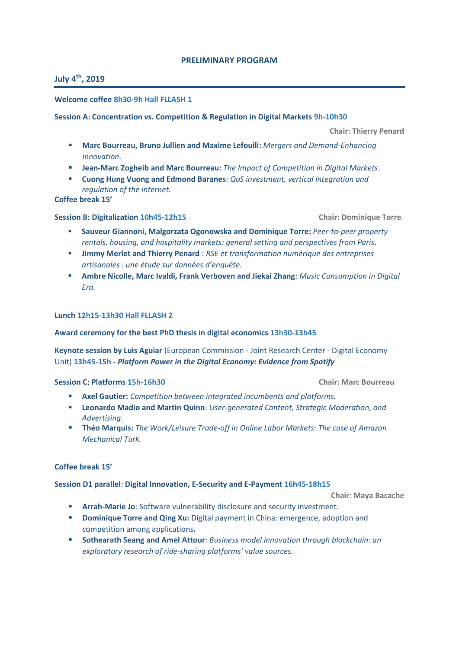### **PRELIMINARY PROGRAM**

# **July 4th, 2019**

#### **Welcome coffee 8h30-9h Hall FLLASH 1**

**Session A: Concentration vs. Competition & Regulation in Digital Markets 9h-10h30**

 **Chair: Thierry Penard**

- **Marc Bourreau, Bruno Jullien and Maxime Lefouili:** *Mergers and Demand-Enhancing Innovation*.
- **Jean-Marc Zogheib and Marc Bourreau:** *The Impact of Competition in Digital Markets*.
- **Cuong Hung Vuong and Edmond Baranes**: *QoS investment, vertical integration and regulation of the internet.*

**Coffee break 15'**

#### **Session B: Digitalization 10h45-12h15 Chair: Dominique Torre**

- **Sauveur Giannoni, Malgorzata Ogonowska and Dominique Torre:** *Peer-to-peer property rentals, housing, and hospitality markets: general setting and perspectives from Paris*.
- **Jimmy Merlet and Thierry Penard** : *RSE et transformation numérique des entreprises artisanales : une étude sur données d'enquête.*
- **Ambre Nicolle, Marc Ivaldi, Frank Verboven and Jiekai Zhang**: *Music Consumption in Digital Era.*

#### **Lunch 12h15-13h30 Hall FLLASH 2**

#### **Award ceremony for the best PhD thesis in digital economics 13h30-13h45**

**Keynote session by Luis Aguiar** (European Commission - Joint Research Center - Digital Economy Unit) **13h45-15h** - *Platform Power in the Digital Economy: Evidence from Spotify*

#### **Session C**: **Platforms 15h-16h30 Chair: Marc Bourreau**

- **Axel Gautier:** *Competition between integrated incumbents and platforms.*
- **Leonardo Madio and Martin Quinn**: *User-generated Content, Strategic Moderation, and Advertising.*
- **Théo Marquis:** *The Work/Leisure Trade-off in Online Labor Markets: The case of Amazon Mechanical Turk.*

#### **Coffee break 15'**

**Session D1 parallel**: **Digital Innovation, E-Security and E-Payment 16h45-18h15**

 **Chair: Maya Bacache** 

- **Arrah-Marie Jo**: Software vulnerability disclosure and security investment.
- **Dominique Torre and Qing Xu:** Digital payment in China: emergence, adoption and competition among applications**.**
- **Sothearath Seang and Amel Attour**: *Business model innovation through blockchain: an exploratory research of ride-sharing platforms' value sources.*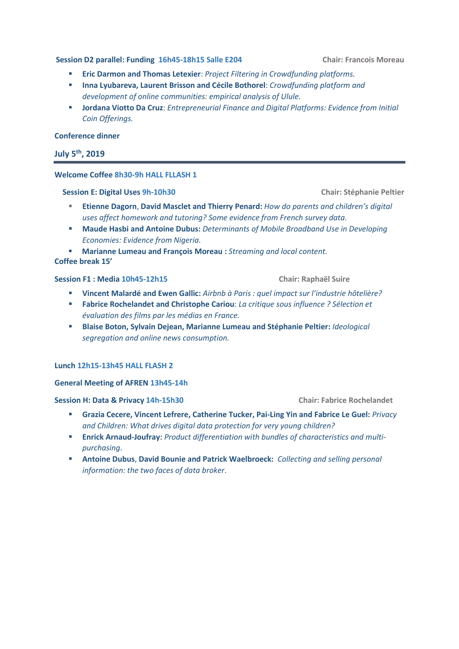#### **Session D2 parallel: Funding 16h45-18h15 Salle E204 Chair: Francois Moreau**

- **Eric Darmon and Thomas Letexier**: *Project Filtering in Crowdfunding platforms.*
- **Inna Lyubareva, Laurent Brisson and Cécile Bothorel**: *Crowdfunding platform and development of online communities: empirical analysis of Ulule.*
- **Jordana Viotto Da Cruz**: *Entrepreneurial Finance and Digital Platforms: Evidence from Initial Coin Offerings.*

#### **Conference dinner**

# **July 5th, 2019**

#### **Welcome Coffee 8h30-9h HALL FLLASH 1**

#### **Session E: Digital Uses 9h-10h30 Chair: Stéphanie Peltier**

- **Etienne Dagorn**, **David Masclet and Thierry Penard:** *How do parents and children's digital uses affect homework and tutoring? Some evidence from French survey data.*
- **Maude Hasbi and Antoine Dubus:** *Determinants of Mobile Broadband Use in Developing Economies: Evidence from Nigeria.*

 **Marianne Lumeau and François Moreau :** *Streaming and local content.* **Coffee break 15'**

#### **Session F1 : Media 10h45-12h15 Chair: Raphaël Suire**

- **Vincent Malardé and Ewen Gallic:** *Airbnb à Paris : quel impact sur l'industrie hôtelière?*
- **Fabrice Rochelandet and Christophe Cariou**: *La critique sous influence ? Sélection et évaluation des films par les médias en France.*
- **Blaise Boton, Sylvain Dejean, Marianne Lumeau and Stéphanie Peltier:** *Ideological segregation and online news consumption.*

#### **Lunch 12h15-13h45 HALL FLASH 2**

#### **General Meeting of AFREN 13h45-14h**

#### **Session H: Data & Privacy 14h-15h30 Chair: Fabrice Rochelandet**

- **Grazia Cecere, Vincent Lefrere, Catherine Tucker, Pai-Ling Yin and Fabrice Le Guel:** *Privacy and Children: What drives digital data protection for very young children?*
- **Enrick Arnaud-Joufray**: *Product differentiation with bundles of characteristics and multipurchasing*.
- **Antoine Dubus**, **David Bounie and Patrick Waelbroeck:** *Collecting and selling personal information: the two faces of data broker*.